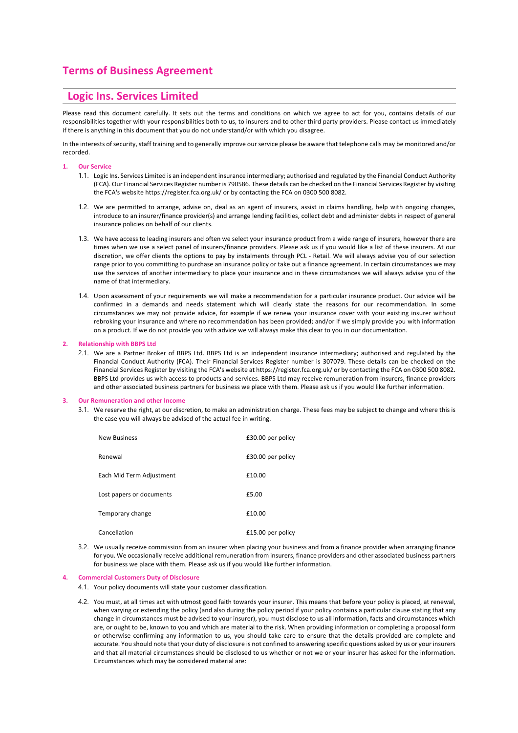# **Terms of Business Agreement**

# **Logic Ins. Services Limited**

Please read this document carefully. It sets out the terms and conditions on which we agree to act for you, contains details of our responsibilities together with your responsibilities both to us, to insurers and to other third party providers. Please contact us immediately if there is anything in this document that you do not understand/or with which you disagree.

In the interests of security, staff training and to generally improve our service please be aware that telephone calls may be monitored and/or recorded.

# **1. Our Service**

- 1.1. Logic Ins. Services Limited is an independent insurance intermediary; authorised and regulated by the Financial Conduct Authority (FCA). Our Financial Services Register number is 790586. These details can be checked on the Financial Services Register by visiting the FCA's website https://register.fca.org.uk/ or by contacting the FCA on 0300 500 8082.
- 1.2. We are permitted to arrange, advise on, deal as an agent of insurers, assist in claims handling, help with ongoing changes, introduce to an insurer/finance provider(s) and arrange lending facilities, collect debt and administer debts in respect of general insurance policies on behalf of our clients.
- 1.3. We have access to leading insurers and often we select your insurance product from a wide range of insurers, however there are times when we use a select panel of insurers/finance providers. Please ask us if you would like a list of these insurers. At our discretion, we offer clients the options to pay by instalments through PCL - Retail. We will always advise you of our selection range prior to you committing to purchase an insurance policy or take out a finance agreement. In certain circumstances we may use the services of another intermediary to place your insurance and in these circumstances we will always advise you of the name of that intermediary.
- 1.4. Upon assessment of your requirements we will make a recommendation for a particular insurance product. Our advice will be confirmed in a demands and needs statement which will clearly state the reasons for our recommendation. In some circumstances we may not provide advice, for example if we renew your insurance cover with your existing insurer without rebroking your insurance and where no recommendation has been provided; and/or if we simply provide you with information on a product. If we do not provide you with advice we will always make this clear to you in our documentation.

## **2. Relationship with BBPS Ltd**

2.1. We are a Partner Broker of BBPS Ltd. BBPS Ltd is an independent insurance intermediary; authorised and regulated by the Financial Conduct Authority (FCA). Their Financial Services Register number is 307079. These details can be checked on the Financial Services Register by visiting the FCA's website at https://register.fca.org.uk/ or by contacting the FCA on 0300 500 8082. BBPS Ltd provides us with access to products and services. BBPS Ltd may receive remuneration from insurers, finance providers and other associated business partners for business we place with them. Please ask us if you would like further information.

#### **3. Our Remuneration and other Income**

3.1. We reserve the right, at our discretion, to make an administration charge. These fees may be subject to change and where this is the case you will always be advised of the actual fee in writing.

| <b>New Business</b>      | £30.00 per policy |
|--------------------------|-------------------|
| Renewal                  | £30.00 per policy |
| Each Mid Term Adjustment | £10.00            |
| Lost papers or documents | £5.00             |
| Temporary change         | £10.00            |
| Cancellation             | £15.00 per policy |

3.2. We usually receive commission from an insurer when placing your business and from a finance provider when arranging finance for you. We occasionally receive additional remuneration from insurers, finance providers and other associated business partners for business we place with them. Please ask us if you would like further information.

#### **4. Commercial Customers Duty of Disclosure**

4.1. Your policy documents will state your customer classification.

4.2. You must, at all times act with utmost good faith towards your insurer. This means that before your policy is placed, at renewal, when varying or extending the policy (and also during the policy period if your policy contains a particular clause stating that any change in circumstances must be advised to your insurer), you must disclose to us all information, facts and circumstances which are, or ought to be, known to you and which are material to the risk. When providing information or completing a proposal form or otherwise confirming any information to us, you should take care to ensure that the details provided are complete and accurate. You should note that your duty of disclosure is not confined to answering specific questions asked by us or your insurers and that all material circumstances should be disclosed to us whether or not we or your insurer has asked for the information. Circumstances which may be considered material are: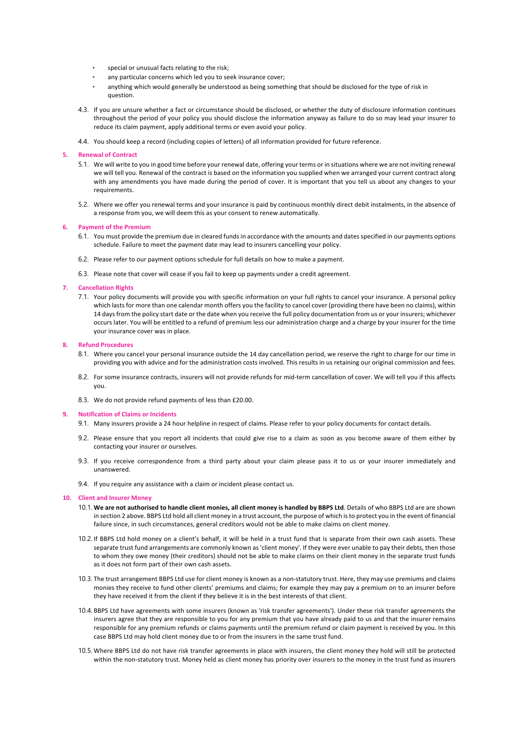- special or unusual facts relating to the risk;
- any particular concerns which led you to seek insurance cover;
- anything which would generally be understood as being something that should be disclosed for the type of risk in question.
- 4.3. If you are unsure whether a fact or circumstance should be disclosed, or whether the duty of disclosure information continues throughout the period of your policy you should disclose the information anyway as failure to do so may lead your insurer to reduce its claim payment, apply additional terms or even avoid your policy.
- 4.4. You should keep a record (including copies of letters) of all information provided for future reference.

# **5. Renewal of Contract**

- 5.1. We will write to you in good time before your renewal date, offering your terms or in situations where we are not inviting renewal we will tell you. Renewal of the contract is based on the information you supplied when we arranged your current contract along with any amendments you have made during the period of cover. It is important that you tell us about any changes to your requirements.
- 5.2. Where we offer you renewal terms and your insurance is paid by continuous monthly direct debit instalments, in the absence of a response from you, we will deem this as your consent to renew automatically.

## **6. Payment of the Premium**

- 6.1. You must provide the premium due in cleared funds in accordance with the amounts and dates specified in our payments options schedule. Failure to meet the payment date may lead to insurers cancelling your policy.
- 6.2. Please refer to our payment options schedule for full details on how to make a payment.
- 6.3. Please note that cover will cease if you fail to keep up payments under a credit agreement.

## **7. Cancellation Rights**

7.1. Your policy documents will provide you with specific information on your full rights to cancel your insurance. A personal policy which lasts for more than one calendar month offers you the facility to cancel cover (providing there have been no claims), within 14 days from the policy start date or the date when you receive the full policy documentation from us or your insurers; whichever occurs later. You will be entitled to a refund of premium less our administration charge and a charge by your insurer for the time your insurance cover was in place.

# **8. Refund Procedures**

- 8.1. Where you cancel your personal insurance outside the 14 day cancellation period, we reserve the right to charge for our time in providing you with advice and for the administration costs involved. This results in us retaining our original commission and fees.
- 8.2. For some insurance contracts, insurers will not provide refunds for mid-term cancellation of cover. We will tell you if this affects you.
- 8.3. We do not provide refund payments of less than £20.00.

# **9. Notification of Claims or Incidents**

- 9.1. Many insurers provide a 24 hour helpline in respect of claims. Please refer to your policy documents for contact details.
- 9.2. Please ensure that you report all incidents that could give rise to a claim as soon as you become aware of them either by contacting your insurer or ourselves.
- 9.3. If you receive correspondence from a third party about your claim please pass it to us or your insurer immediately and unanswered.
- 9.4. If you require any assistance with a claim or incident please contact us.

# **10. Client and Insurer Money**

- 10.1. **We are not authorised to handle client monies, all client money is handled by BBPS Ltd***.* Details of who BBPS Ltd are are shown in section 2 above. BBPS Ltd hold all client money in a trust account, the purpose of which is to protect you in the event of financial failure since, in such circumstances, general creditors would not be able to make claims on client money.
- 10.2. If BBPS Ltd hold money on a client's behalf, it will be held in a trust fund that is separate from their own cash assets. These separate trust fund arrangements are commonly known as 'client money'. If they were ever unable to pay their debts, then those to whom they owe money (their creditors) should not be able to make claims on their client money in the separate trust funds as it does not form part of their own cash assets.
- 10.3. The trust arrangement BBPS Ltd use for client money is known as a non-statutory trust. Here, they may use premiums and claims monies they receive to fund other clients' premiums and claims; for example they may pay a premium on to an insurer before they have received it from the client if they believe it is in the best interests of that client.
- 10.4. BBPS Ltd have agreements with some insurers (known as 'risk transfer agreements'). Under these risk transfer agreements the insurers agree that they are responsible to you for any premium that you have already paid to us and that the insurer remains responsible for any premium refunds or claims payments until the premium refund or claim payment is received by you. In this case BBPS Ltd may hold client money due to or from the insurers in the same trust fund.
- 10.5. Where BBPS Ltd do not have risk transfer agreements in place with insurers, the client money they hold will still be protected within the non-statutory trust. Money held as client money has priority over insurers to the money in the trust fund as insurers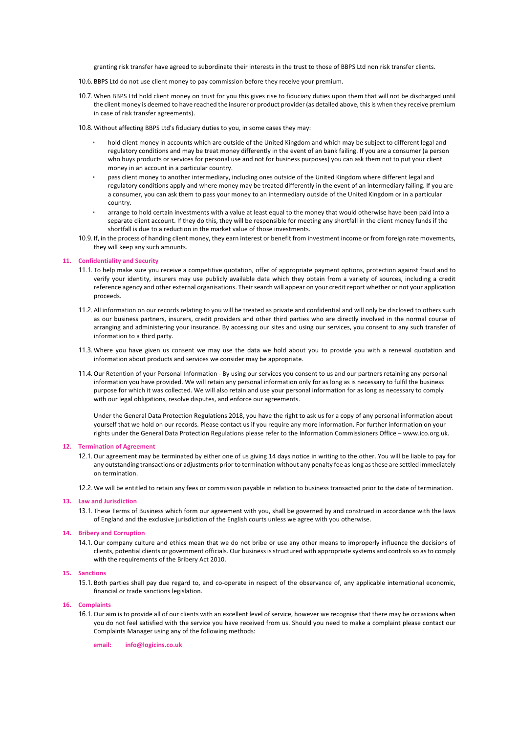granting risk transfer have agreed to subordinate their interests in the trust to those of BBPS Ltd non risk transfer clients.

- 10.6. BBPS Ltd do not use client money to pay commission before they receive your premium.
- 10.7. When BBPS Ltd hold client money on trust for you this gives rise to fiduciary duties upon them that will not be discharged until the client money is deemed to have reached the insurer or product provider (as detailed above, this is when they receive premium in case of risk transfer agreements).
- 10.8. Without affecting BBPS Ltd's fiduciary duties to you, in some cases they may:
	- hold client money in accounts which are outside of the United Kingdom and which may be subject to different legal and regulatory conditions and may be treat money differently in the event of an bank failing. If you are a consumer (a person who buys products or services for personal use and not for business purposes) you can ask them not to put your client money in an account in a particular country.
	- pass client money to another intermediary, including ones outside of the United Kingdom where different legal and regulatory conditions apply and where money may be treated differently in the event of an intermediary failing. If you are a consumer, you can ask them to pass your money to an intermediary outside of the United Kingdom or in a particular country.
	- arrange to hold certain investments with a value at least equal to the money that would otherwise have been paid into a separate client account. If they do this, they will be responsible for meeting any shortfall in the client money funds if the shortfall is due to a reduction in the market value of those investments.
- 10.9. If, in the process of handing client money, they earn interest or benefit from investment income or from foreign rate movements, they will keep any such amounts.

# **11. Confidentiality and Security**

- 11.1. To help make sure you receive a competitive quotation, offer of appropriate payment options, protection against fraud and to verify your identity, insurers may use publicly available data which they obtain from a variety of sources, including a credit reference agency and other external organisations. Their search will appear on your credit report whether or not your application proceeds.
- 11.2. All information on our records relating to you will be treated as private and confidential and will only be disclosed to others such as our business partners, insurers, credit providers and other third parties who are directly involved in the normal course of arranging and administering your insurance. By accessing our sites and using our services, you consent to any such transfer of information to a third party.
- 11.3. Where you have given us consent we may use the data we hold about you to provide you with a renewal quotation and information about products and services we consider may be appropriate.
- 11.4. Our Retention of your Personal Information By using our services you consent to us and our partners retaining any personal information you have provided. We will retain any personal information only for as long as is necessary to fulfil the business purpose for which it was collected. We will also retain and use your personal information for as long as necessary to comply with our legal obligations, resolve disputes, and enforce our agreements.

Under the General Data Protection Regulations 2018, you have the right to ask us for a copy of any personal information about yourself that we hold on our records. Please contact us if you require any more information. For further information on your rights under the General Data Protection Regulations please refer to the Information Commissioners Office – www.ico.org.uk.

#### **12. Termination of Agreement**

12.1. Our agreement may be terminated by either one of us giving 14 days notice in writing to the other. You will be liable to pay for any outstanding transactions or adjustments prior to termination without any penalty fee as long as these are settled immediately on termination.

12.2. We will be entitled to retain any fees or commission payable in relation to business transacted prior to the date of termination.

# **13. Law and Jurisdiction**

13.1. These Terms of Business which form our agreement with you, shall be governed by and construed in accordance with the laws of England and the exclusive jurisdiction of the English courts unless we agree with you otherwise.

## **14. Bribery and Corruption**

14.1. Our company culture and ethics mean that we do not bribe or use any other means to improperly influence the decisions of clients, potential clients or government officials. Our business is structured with appropriate systems and controls so as to comply with the requirements of the Bribery Act 2010.

#### **15. Sanctions**

15.1. Both parties shall pay due regard to, and co-operate in respect of the observance of, any applicable international economic, financial or trade sanctions legislation.

#### **16. Complaints**

16.1. Our aim is to provide all of our clients with an excellent level of service, however we recognise that there may be occasions when you do not feel satisfied with the service you have received from us. Should you need to make a complaint please contact our Complaints Manager using any of the following methods:

**email: info@logicins.co.uk**